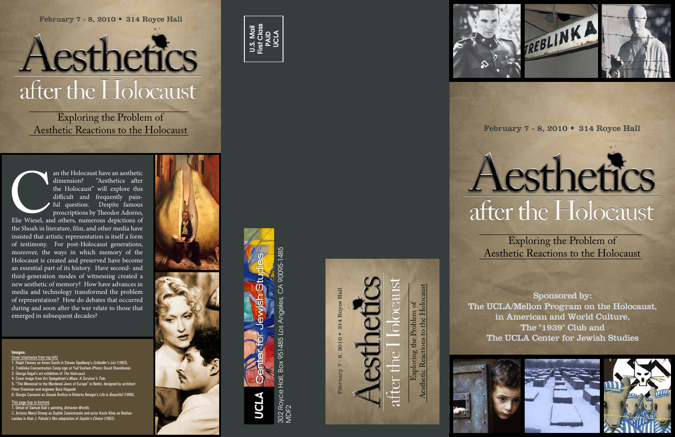302 Royce Hall, Box 951485 Los Angeles, CA 90095-1485 951485 Box MDF2

U.S. Mail First Class PAID UCLA

Elie Wiesel, and others, numerous depictions of the Shoah in literature, film, and other media have insisted that artistic representation is itself a form of testimony. For post-Holocaust generations, moreover, the ways in which memory of the Holocaust is created and preserved have become an essential part of its history. Have second- and third-generation modes of witnessing created a new aesthetic of memory? How have advances in media and technology transformed the problem of representation? How do debates that occurred during and soon after the war relate to those that emerged in subsequent decades? Elie Wiesel, and

an the Holocaust have an aesthetic dimension? "Aesthetics after the Holocaust" will explore this difficult and frequently pain ful question. Despite famous proscriptions by Theodor Adorno,

wise from top left 1. Ralph Fiennes as Amon Goeth in Steven Spielberg's *Schindler's List* (1993). 2. Treblinka Concentration Camp sign at Yad Vashem (Photo: David Shankbone). 3. George Segal's art exhibition of *The Holocaust* . 4. Cover image from Art Spiegelman's *Maus: A Survivor's Tale* . 5. "The Memorial to the Murdered Jews of Europe" in Berlin, designed by architect nman and engineer Buro Happold 6. Giorgio Cantarini as Giosué Orefice in Roberto Benigni's *Life is Beautiful* (1998).

## Exploring the Problem of Aesthetic Reactions to the Holocaust

Aesthetic Reactions to the Holocaust **Iolocaust** Exploring the Problem of đ Problem Reactions to the H the Exploring t<br>Aesthetic Reactio







## February 7 - 8, 2010 **•** 314 Royce Hall

Sponsored by: The UCLA/Mellon Program on the Holocaust, in American and World Culture, The "1939" Club and The UCLA Center for Jewish Studies





#### **Images:**

This page (top to bottom) 1. Detail of Samuel Bak's painting, *Between Worlds* . 2. Actress Meryl Streep as Sophie Zawistowski and actor Kevin Kline as Nathan Landau in Alan J. Pakula's film adaptation of *Sophie's Choice* (1982).





Exploring the Problem of Aesthetic Reactions to the Holocaust

#### February 7 - 8, 2010 **•** 314 Royce Hall

# Aesthetics after the Holocaust